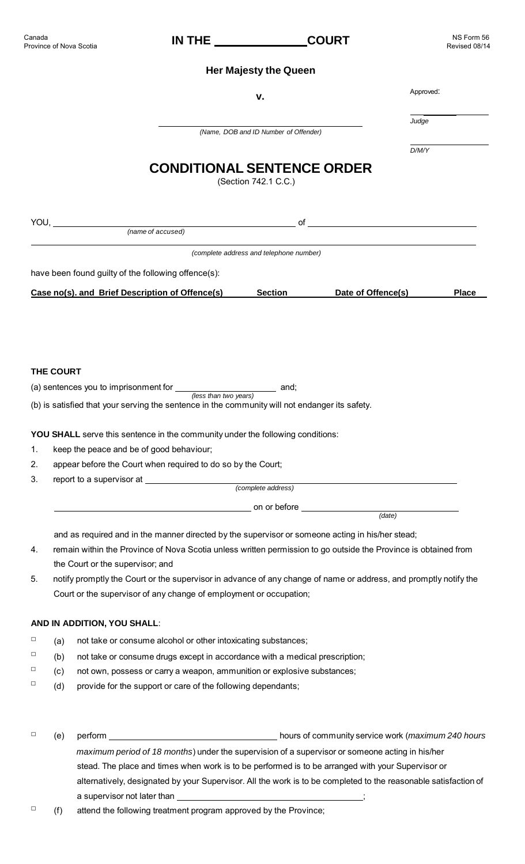|                               | Revised 08/14                                                                                                                                                                                                                                                                                                                                                                                                                                                                                                                                                                                                                                                                                                                                                                                                                                                                                                                                                     |
|-------------------------------|-------------------------------------------------------------------------------------------------------------------------------------------------------------------------------------------------------------------------------------------------------------------------------------------------------------------------------------------------------------------------------------------------------------------------------------------------------------------------------------------------------------------------------------------------------------------------------------------------------------------------------------------------------------------------------------------------------------------------------------------------------------------------------------------------------------------------------------------------------------------------------------------------------------------------------------------------------------------|
|                               |                                                                                                                                                                                                                                                                                                                                                                                                                                                                                                                                                                                                                                                                                                                                                                                                                                                                                                                                                                   |
|                               | Approved:                                                                                                                                                                                                                                                                                                                                                                                                                                                                                                                                                                                                                                                                                                                                                                                                                                                                                                                                                         |
|                               | Judge                                                                                                                                                                                                                                                                                                                                                                                                                                                                                                                                                                                                                                                                                                                                                                                                                                                                                                                                                             |
|                               |                                                                                                                                                                                                                                                                                                                                                                                                                                                                                                                                                                                                                                                                                                                                                                                                                                                                                                                                                                   |
|                               | D/M/Y                                                                                                                                                                                                                                                                                                                                                                                                                                                                                                                                                                                                                                                                                                                                                                                                                                                                                                                                                             |
|                               |                                                                                                                                                                                                                                                                                                                                                                                                                                                                                                                                                                                                                                                                                                                                                                                                                                                                                                                                                                   |
| $of$ $\overline{\phantom{a}}$ |                                                                                                                                                                                                                                                                                                                                                                                                                                                                                                                                                                                                                                                                                                                                                                                                                                                                                                                                                                   |
|                               |                                                                                                                                                                                                                                                                                                                                                                                                                                                                                                                                                                                                                                                                                                                                                                                                                                                                                                                                                                   |
|                               |                                                                                                                                                                                                                                                                                                                                                                                                                                                                                                                                                                                                                                                                                                                                                                                                                                                                                                                                                                   |
|                               |                                                                                                                                                                                                                                                                                                                                                                                                                                                                                                                                                                                                                                                                                                                                                                                                                                                                                                                                                                   |
| Date of Offence(s)            | <b>Place</b>                                                                                                                                                                                                                                                                                                                                                                                                                                                                                                                                                                                                                                                                                                                                                                                                                                                                                                                                                      |
|                               |                                                                                                                                                                                                                                                                                                                                                                                                                                                                                                                                                                                                                                                                                                                                                                                                                                                                                                                                                                   |
|                               |                                                                                                                                                                                                                                                                                                                                                                                                                                                                                                                                                                                                                                                                                                                                                                                                                                                                                                                                                                   |
|                               |                                                                                                                                                                                                                                                                                                                                                                                                                                                                                                                                                                                                                                                                                                                                                                                                                                                                                                                                                                   |
|                               |                                                                                                                                                                                                                                                                                                                                                                                                                                                                                                                                                                                                                                                                                                                                                                                                                                                                                                                                                                   |
|                               |                                                                                                                                                                                                                                                                                                                                                                                                                                                                                                                                                                                                                                                                                                                                                                                                                                                                                                                                                                   |
|                               |                                                                                                                                                                                                                                                                                                                                                                                                                                                                                                                                                                                                                                                                                                                                                                                                                                                                                                                                                                   |
|                               |                                                                                                                                                                                                                                                                                                                                                                                                                                                                                                                                                                                                                                                                                                                                                                                                                                                                                                                                                                   |
|                               |                                                                                                                                                                                                                                                                                                                                                                                                                                                                                                                                                                                                                                                                                                                                                                                                                                                                                                                                                                   |
|                               |                                                                                                                                                                                                                                                                                                                                                                                                                                                                                                                                                                                                                                                                                                                                                                                                                                                                                                                                                                   |
|                               |                                                                                                                                                                                                                                                                                                                                                                                                                                                                                                                                                                                                                                                                                                                                                                                                                                                                                                                                                                   |
|                               |                                                                                                                                                                                                                                                                                                                                                                                                                                                                                                                                                                                                                                                                                                                                                                                                                                                                                                                                                                   |
|                               |                                                                                                                                                                                                                                                                                                                                                                                                                                                                                                                                                                                                                                                                                                                                                                                                                                                                                                                                                                   |
|                               | <b>Her Majesty the Queen</b><br>v.<br>(Name, DOB and ID Number of Offender)<br><b>CONDITIONAL SENTENCE ORDER</b><br>(Section 742.1 C.C.)<br>(complete address and telephone number)<br><b>Section</b><br>(a) sentences you to imprisonment for $\frac{1}{\cos \theta}$ and;<br>(b) is satisfied that your serving the sentence in the community will not endanger its safety.<br><b>YOU SHALL</b> serve this sentence in the community under the following conditions:<br>appear before the Court when required to do so by the Court;<br>(date)<br>and as required and in the manner directed by the supervisor or someone acting in his/her stead;<br>remain within the Province of Nova Scotia unless written permission to go outside the Province is obtained from<br>notify promptly the Court or the supervisor in advance of any change of name or address, and promptly notify the<br>Court or the supervisor of any change of employment or occupation; |

### **AND IN ADDITION, YOU SHALL**:

- $\Box$  (a) not take or consume alcohol or other intoxicating substances;
- $\Box$  (b) not take or consume drugs except in accordance with a medical prescription;
- $\Box$  (c) not own, possess or carry a weapon, ammunition or explosive substances;
- $\Box$  (d) provide for the support or care of the following dependants;
- □ (e) perform hours of community service work (*maximum 240 hours maximum period of 18 months*) under the supervision of a supervisor or someone acting in his/her stead. The place and times when work is to be performed is to be arranged with your Supervisor or alternatively, designated by your Supervisor. All the work is to be completed to the reasonable satisfaction of a supervisor not later than
- $\Box$  (f) attend the following treatment program approved by the Province;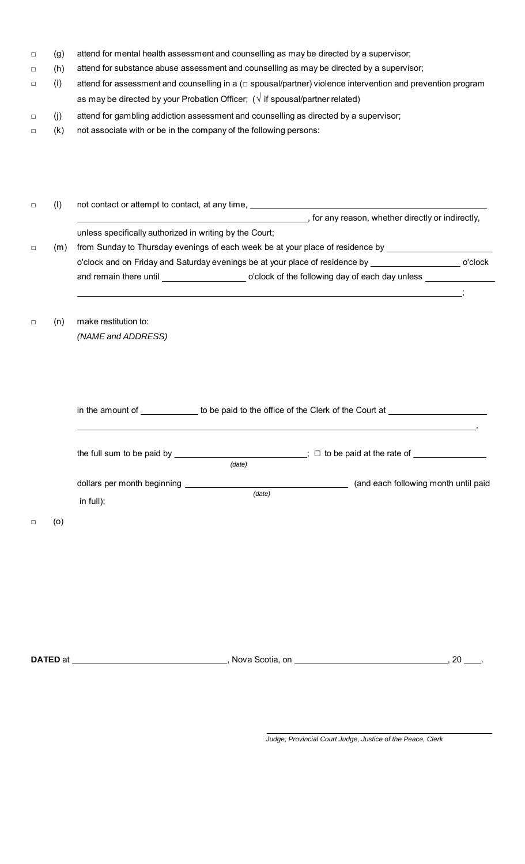- $\Box$ (g) attend for mental health assessment and counselling as may be directed by a supervisor;
- $\Box$ (h) attend for substance abuse assessment and counselling as may be directed by a supervisor;
- $\Box$ (i) attend for assessment and counselling in a (□ spousal/partner) violence intervention and prevention program as may be directed by your Probation Officer; ( $\sqrt{ }$  if spousal/partner related)
- □ (j) attend for gambling addiction assessment and counselling as directed by a supervisor;
- □ (k) not associate with or be in the company of the following persons:

| $\Box$ | (1) |                                                         | not contact or attempt to contact, at any time, <b>example 20</b> is a set of the set of the set of the set of the set of the set of the set of the set of the set of the set of the set of the set of the set of the set of the se                                  |  |
|--------|-----|---------------------------------------------------------|----------------------------------------------------------------------------------------------------------------------------------------------------------------------------------------------------------------------------------------------------------------------|--|
| $\Box$ | (m) | unless specifically authorized in writing by the Court; | for any reason, whether directly or indirectly,<br>from Sunday to Thursday evenings of each week be at your place of residence by ____________________<br>o'clock and on Friday and Saturday evenings be at your place of residence by _____________________ o'clock |  |
| $\Box$ | (n) | make restitution to:<br>(NAME and ADDRESS)              |                                                                                                                                                                                                                                                                      |  |
|        |     |                                                         | in the amount of _____________ to be paid to the office of the Clerk of the Court at _______________<br>the full sum to be paid by $\sqrt{2}$ to be paid at the rate of $\sqrt{2}$                                                                                   |  |
| $\Box$ | (0) | in full);                                               | (data)<br>(and each following month until paid                                                                                                                                                                                                                       |  |
|        |     |                                                         |                                                                                                                                                                                                                                                                      |  |

**DATED** at , Nova Scotia, on , 20 .

 *Judge, Provincial Court Judge, Justice of the Peace, Clerk*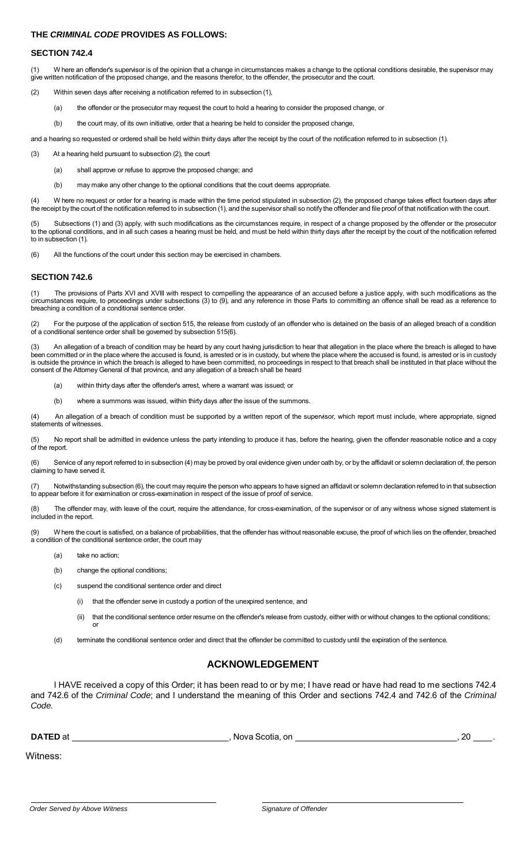### **THE** *CRIMINAL CODE* **PROVIDES AS FOLLOWS:**

#### **SECTION 742.4**

(1) W here an offender's supervisor is of the opinion that a change in circumstances makes a change to the optional conditions desirable, the supervisor may give written notification of the proposed change, and the reasons therefor, to the offender, the prosecutor and the court.

- (2) Within seven days after receiving a notification referred to in subsection (1),
	- (a) the offender or the prosecutor may request the court to hold a hearing to consider the proposed change, or
	- (b) the court may, of its own initiative, order that a hearing be held to consider the proposed change,

and a hearing so requested or ordered shall be held within thirty days after the receipt by the court of the notification referred to in subsection (1).

(3) At a hearing held pursuant to subsection (2), the court

- (a) shall approve or refuse to approve the proposed change; and
- (b) may make any other change to the optional conditions that the court deems appropriate.

(4) W here no request or order for a hearing is made within the time period stipulated in subsection (2), the proposed change takes effect fourteen days after the receipt by the court of the notification referred to in subsection (1), and the supervisor shall so notify the offender and file proof of that notification with the court.

Subsections (1) and (3) apply, with such modifications as the circumstances require, in respect of a change proposed by the offender or the prosecutor to the optional conditions, and in all such cases a hearing must be held, and must be held within thirty days after the receipt by the court of the notification referred to in subsection (1).

(6) All the functions of the court under this section may be exercised in chambers.

### **SECTION 742.6**

The provisions of Parts XVI and XVIII with respect to compelling the appearance of an accused before a justice apply, with such modifications as the circumstances require, to proceedings under subsections (3) to (9), and any reference in those Parts to committing an offence shall be read as a reference to breaching a condition of a conditional sentence order.

(2) For the purpose of the application of section 515, the release from custody of an offender who is detained on the basis of an alleged breach of a condition of a conditional sentence order shall be governed by subsection 515(6).

(3) An allegation of a breach of condition may be heard by any court having jurisdiction to hear that allegation in the place where the breach is alleged to have been committed or in the place where the accused is found, is arrested or is in custody, but where the place where the accused is found, is arrested or is in custody is outside the province in which the breach is alleged to have been committed, no proceedings in respect to that breach shall be instituted in that place without the consent of the Attorney General of that province, and any allegation of a breach shall be heard

- (a) within thirty days after the offender's arrest, where a warrant was issued; or
- (b) where a summons was issued, within thirty days after the issue of the summons.

(4) An allegation of a breach of condition must be supported by a written report of the supervisor, which report must include, where appropriate, signed statements of witnesses.

(5) No report shall be admitted in evidence unless the party intending to produce it has, before the hearing, given the offender reasonable notice and a copy of the report.

(6) Service of any report referred to in subsection (4) may be proved by oral evidence given under oath by, or by the affidavit or solemn declaration of, the person claiming to have served it.

Notwithstanding subsection (6), the court may require the person who appears to have signed an affidavit or solemn declaration referred to in that subsection to appear before it for examination or cross-examination in respect of the issue of proof of service.

(8) The offender may, with leave of the court, require the attendance, for cross-examination, of the supervisor or of any witness whose signed statement is included in the report.

W here the court is satisfied, on a balance of probabilities, that the offender has without reasonable excuse, the proof of which lies on the offender, breached a condition of the conditional sentence order, the court may

- (a) take no action;
- (b) change the optional conditions;
- (c) suspend the conditional sentence order and direct
	- that the offender serve in custody a portion of the unexpired sentence, and
	- (ii) that the conditional sentence order resume on the offender's release from custody, either with or without changes to the optional conditions; or
- (d) terminate the conditional sentence order and direct that the offender be committed to custody until the expiration of the sentence.

### **ACKNOWLEDGEMENT**

I HAVE received a copy of this Order; it has been read to or by me; I have read or have had read to me sections 742.4 and 742.6 of the *Criminal Code*; and I understand the meaning of this Order and sections 742.4 and 742.6 of the *Criminal Code.*

| <b>DATED</b> at | Nova.<br>on<br>Scotia | 20 |  |
|-----------------|-----------------------|----|--|
|                 |                       |    |  |

Witness:

**Order Served by Above Witness**  Signature of Offender **Signature of Offender**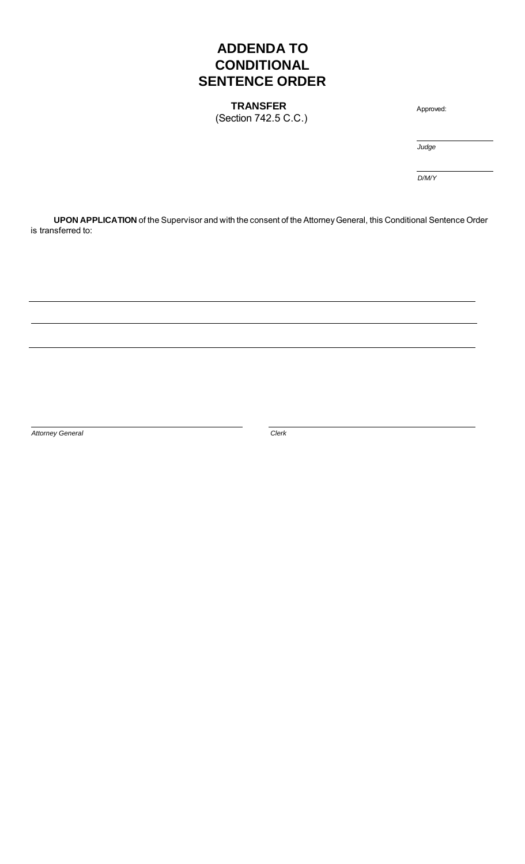# **ADDENDA TO CONDITIONAL SENTENCE ORDER**

**TRANSFER** (Section 742.5 C.C.)

Approved:

*Judge*

*D/M/Y*

**UPON APPLICATION** of the Supervisor and with the consent of the Attorney General, this Conditional Sentence Order is transferred to:

*Attorney General* Clerk **Clerk**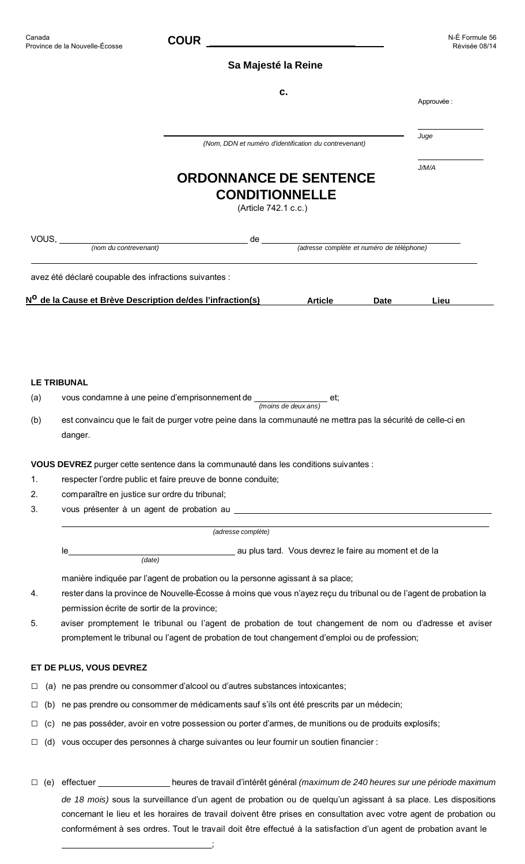## **Sa Majesté la Reine**

|               | c.                                                                                                                     | Approuvée : |
|---------------|------------------------------------------------------------------------------------------------------------------------|-------------|
|               | (Nom, DDN et numéro d'identification du contrevenant)                                                                  | Juge        |
|               | <b>ORDONNANCE DE SENTENCE</b><br><b>CONDITIONNELLE</b><br>(Article 742.1 c.c.)                                         | J/M/A       |
|               | de<br>(adresse complète et numéro de téléphone)<br>(nom du contrevenant)                                               |             |
|               | avez été déclaré coupable des infractions suivantes :                                                                  |             |
|               | N <sup>O</sup> de la Cause et Brève Description de/des l'infraction(s)<br><b>Article</b><br>Date                       | Lieu        |
|               |                                                                                                                        |             |
|               |                                                                                                                        |             |
|               |                                                                                                                        |             |
|               | <b>LE TRIBUNAL</b>                                                                                                     |             |
| (a)           | vous condamne à une peine d'emprisonnement de $\frac{1}{(moins de deux ans)}$ et;                                      |             |
| (b)           | est convaincu que le fait de purger votre peine dans la communauté ne mettra pas la sécurité de celle-ci en<br>danger. |             |
|               |                                                                                                                        |             |
|               | VOUS DEVREZ purger cette sentence dans la communauté dans les conditions suivantes :                                   |             |
| 1.<br>2.      | respecter l'ordre public et faire preuve de bonne conduite;<br>comparaître en justice sur ordre du tribunal;           |             |
| 3.            |                                                                                                                        |             |
|               |                                                                                                                        |             |
|               | (adresse complète)                                                                                                     |             |
|               | au plus tard. Vous devrez le faire au moment et de la<br>Ie<br>(data)                                                  |             |
|               | manière indiquée par l'agent de probation ou la personne agissant à sa place;                                          |             |
| 4.            | rester dans la province de Nouvelle-Écosse à moins que vous n'ayez reçu du tribunal ou de l'agent de probation la      |             |
|               | permission écrite de sortir de la province;                                                                            |             |
| 5.            | aviser promptement le tribunal ou l'agent de probation de tout changement de nom ou d'adresse et aviser                |             |
|               | promptement le tribunal ou l'agent de probation de tout changement d'emploi ou de profession;                          |             |
|               | ET DE PLUS, VOUS DEVREZ                                                                                                |             |
| ⊔             | (a) ne pas prendre ou consommer d'alcool ou d'autres substances intoxicantes;                                          |             |
| (b)<br>$\Box$ | ne pas prendre ou consommer de médicaments sauf s'ils ont été prescrits par un médecin;                                |             |
| $\Box$        | (c) ne pas posséder, avoir en votre possession ou porter d'armes, de munitions ou de produits explosifs;               |             |
| $\Box$        | (d) vous occuper des personnes à charge suivantes ou leur fournir un soutien financier :                               |             |
|               |                                                                                                                        |             |

□ (e) effectuer heures de travail d'intérêt général *(maximum de 240 heures sur une période maximum de 18 mois)* sous la surveillance d'un agent de probation ou de quelqu'un agissant à sa place. Les dispositions concernant le lieu et les horaires de travail doivent être prises en consultation avec votre agent de probation ou conformément à ses ordres. Tout le travail doit être effectué à la satisfaction d'un agent de probation avant le

<u>; and the contract of the contract of the contract of</u>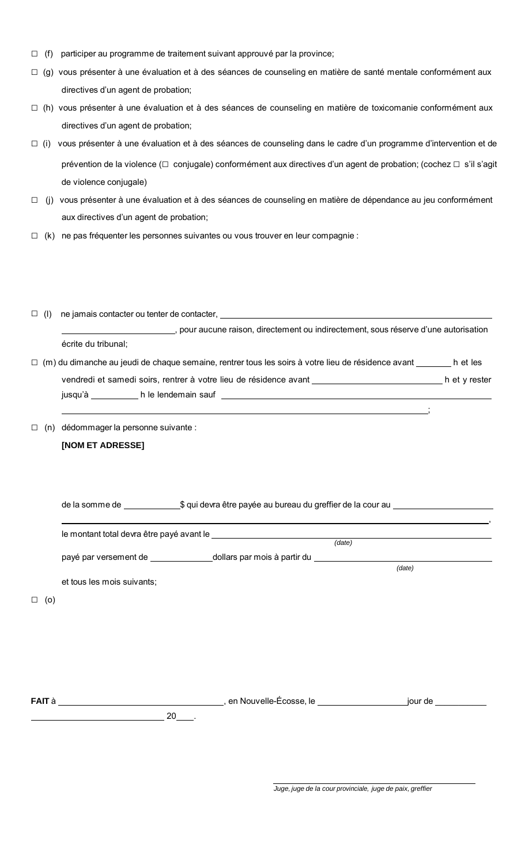- $\Box$  (f) participer au programme de traitement suivant approuvé par la province;
- □ (g) vous présenter à une évaluation et à des séances de counseling en matière de santé mentale conformément aux directives d'un agent de probation;
- □ (h) vous présenter à une évaluation et à des séances de counseling en matière de toxicomanie conformément aux directives d'un agent de probation;
- □ (i) vous présenter à une évaluation et à des séances de counseling dans le cadre d'un programme d'intervention et de prévention de la violence (□ conjugale) conformément aux directives d'un agent de probation; (cochez □ s'il s'agit de violence conjugale)
- □ (j) vous présenter à une évaluation et à des séances de counseling en matière de dépendance au jeu conformément aux directives d'un agent de probation;
- □ (k) ne pas fréquenter les personnes suivantes ou vous trouver en leur compagnie :

| $\Box$ (1) |                     | ne jamais contacter ou tenter de contacter,                                                               |               |
|------------|---------------------|-----------------------------------------------------------------------------------------------------------|---------------|
|            |                     | pour aucune raison, directement ou indirectement, sous réserve d'une autorisation                         |               |
|            | écrite du tribunal; |                                                                                                           |               |
|            |                     | $\Box$ (m) du dimanche au jeudi de chaque semaine, rentrer tous les soirs à votre lieu de résidence avant | h et les      |
|            |                     | vendredi et samedi soirs, rentrer à votre lieu de résidence avant                                         | h et y rester |
|            | jusqu'à             | h le lendemain sauf                                                                                       |               |

□ (n) dédommager la personne suivante :

# **[NOM ET ADRESSE]**

 $\Box$ 

| de la somme de | \$ qui devra être payée au bureau du greffier de la cour au |  |
|----------------|-------------------------------------------------------------|--|
|----------------|-------------------------------------------------------------|--|

|                            | (date) |        |
|----------------------------|--------|--------|
|                            |        |        |
|                            |        | (date) |
| et tous les mois suivants; |        |        |
|                            |        |        |
|                            |        |        |
|                            |        |        |
|                            |        |        |

**FAIT** à , en Nouvelle-Écosse, le jour de \_\_\_\_\_\_\_\_\_\_\_

 $20$  .

;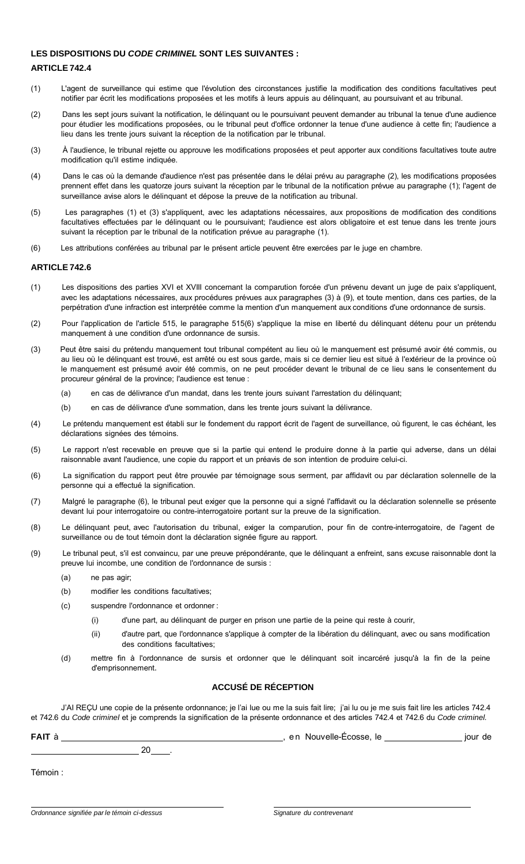### **LES DISPOSITIONS DU** *CODE CRIMINEL* **SONT LES SUIVANTES :**

### **ARTICLE 742.4**

- (1) L'agent de surveillance qui estime que l'évolution des circonstances justifie la modification des conditions facultatives peut notifier par écrit les modifications proposées et les motifs à leurs appuis au délinquant, au poursuivant et au tribunal.
- (2) Dans les sept jours suivant la notification, le délinquant ou le poursuivant peuvent demander au tribunal la tenue d'une audience pour étudier les modifications proposées, ou le tribunal peut d'office ordonner la tenue d'une audience à cette fin; l'audience a lieu dans les trente jours suivant la réception de la notification par le tribunal.
- (3) À l'audience, le tribunal rejette ou approuve les modifications proposées et peut apporter aux conditions facultatives toute autre modification qu'il estime indiquée.
- (4) Dans le cas où la demande d'audience n'est pas présentée dans le délai prévu au paragraphe (2), les modifications proposées prennent effet dans les quatorze jours suivant la réception par le tribunal de la notification prévue au paragraphe (1); l'agent de surveillance avise alors le délinquant et dépose la preuve de la notification au tribunal.
- (5) Les paragraphes (1) et (3) s'appliquent, avec les adaptations nécessaires, aux propositions de modification des conditions facultatives effectuées par le délinquant ou le poursuivant; l'audience est alors obligatoire et est tenue dans les trente jours suivant la réception par le tribunal de la notification prévue au paragraphe (1).
- (6) Les attributions conférées au tribunal par le présent article peuvent être exercées par le juge en chambre.

### **ARTICLE 742.6**

- (1) Les dispositions des parties XVI et XVIII concernant la comparution forcée d'un prévenu devant un juge de paix s'appliquent, avec les adaptations nécessaires, aux procédures prévues aux paragraphes (3) à (9), et toute mention, dans ces parties, de la perpétration d'une infraction est interprétée comme la mention d'un manquement aux conditions d'une ordonnance de sursis.
- (2) Pour l'application de l'article 515, le paragraphe 515(6) s'applique la mise en liberté du délinquant détenu pour un prétendu manquement à une condition d'une ordonnance de sursis.
- (3) Peut être saisi du prétendu manquement tout tribunal compétent au lieu où le manquement est présumé avoir été commis, ou au lieu où le délinquant est trouvé, est arrêté ou est sous garde, mais si ce dernier lieu est situé à l'extérieur de la province où le manquement est présumé avoir été commis, on ne peut procéder devant le tribunal de ce lieu sans le consentement du procureur général de la province; l'audience est tenue :
	- (a) en cas de délivrance d'un mandat, dans les trente jours suivant l'arrestation du délinquant;
	- (b) en cas de délivrance d'une sommation, dans les trente jours suivant la délivrance.
- (4) Le prétendu manquement est établi sur le fondement du rapport écrit de l'agent de surveillance, où figurent, le cas échéant, les déclarations signées des témoins.
- (5) Le rapport n'est recevable en preuve que si la partie qui entend le produire donne à la partie qui adverse, dans un délai raisonnable avant l'audience, une copie du rapport et un préavis de son intention de produire celui-ci.
- (6) La signification du rapport peut être prouvée par témoignage sous serment, par affidavit ou par déclaration solennelle de la personne qui a effectué la signification.
- (7) Malgré le paragraphe (6), le tribunal peut exiger que la personne qui a signé l'affidavit ou la déclaration solennelle se présente devant lui pour interrogatoire ou contre-interrogatoire portant sur la preuve de la signification.
- (8) Le délinquant peut, avec l'autorisation du tribunal, exiger la comparution, pour fin de contre-interrogatoire, de l'agent de surveillance ou de tout témoin dont la déclaration signée figure au rapport.
- (9) Le tribunal peut, s'il est convaincu, par une preuve prépondérante, que le délinquant a enfreint, sans excuse raisonnable dont la preuve lui incombe, une condition de l'ordonnance de sursis :
	- (a) ne pas agir;
	- (b) modifier les conditions facultatives;
	- (c) suspendre l'ordonnance et ordonner :
		- (i) d'une part, au délinquant de purger en prison une partie de la peine qui reste à courir,
		- (ii) d'autre part, que l'ordonnance s'applique à compter de la libération du délinquant, avec ou sans modification des conditions facultatives;
	- (d) mettre fin à l'ordonnance de sursis et ordonner que le délinquant soit incarcéré jusqu'à la fin de la peine d'emprisonnement.

## **ACCUSÉ DE RÉCEPTION**

J'AI REÇU une copie de la présente ordonnance; je l'ai lue ou me la suis fait lire; j'ai lu ou je me suis fait lire les articles 742.4 et 742.6 du *Code criminel* et je comprends la signification de la présente ordonnance et des articles 742.4 et 742.6 du *Code criminel.*

| FAIT à  | en Nouvelle-Écosse, le<br>jour de |
|---------|-----------------------------------|
| 20      |                                   |
| Témoin: |                                   |